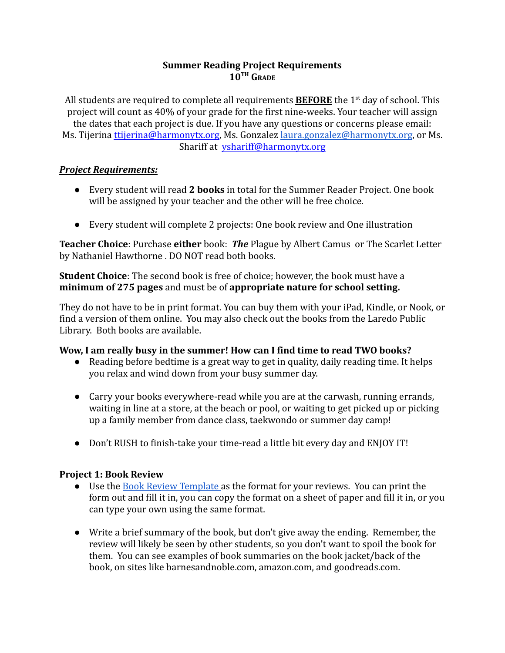## **Summer Reading Project Requirements**  $10^{TH}$   $G_{RADF}$

All students are required to complete all requirements **BEFORE** the 1<sup>st</sup> day of school. This project will count as 40% of your grade for the first nine-weeks. Your teacher will assign the dates that each project is due. If you have any questions or concerns please email: Ms. Tijerina [ttijerina@harmonytx.org](mailto:ttijerina@harmonytx.org), Ms. Gonzalez [laura.gonzalez@harmonytx.org](mailto:laura.gonzalez@harmonytx.org), or Ms. Shariff at [yshariff@harmonytx.org](mailto:yshariff@harmonytx.org)

## *Project Requirements:*

- Every student will read **2 books** in total for the Summer Reader Project. One book will be assigned by your teacher and the other will be free choice.
- Every student will complete 2 projects: One book review and One illustration

**Teacher Choice**: Purchase **either** book: *The* Plague by Albert Camus or The Scarlet Letter by Nathaniel Hawthorne . DO NOT read both books.

**Student Choice**: The second book is free of choice; however, the book must have a **minimum of 275 pages** and must be of **appropriate nature for school setting.**

They do not have to be in print format. You can buy them with your iPad, Kindle, or Nook, or find a version of them online. You may also check out the books from the Laredo Public Library. Both books are available.

# **Wow, I am really busy in the summer! How can I find time to read TWO books?**

- Reading before bedtime is a great way to get in quality, daily reading time. It helps you relax and wind down from your busy summer day.
- Carry your books everywhere-read while you are at the carwash, running errands, waiting in line at a store, at the beach or pool, or waiting to get picked up or picking up a family member from dance class, taekwondo or summer day camp!
- Don't RUSH to finish-take your time-read a little bit every day and ENJOY IT!

# **Project 1: Book Review**

- Use the [Book Review Template](https://docs.google.com/document/d/18WSSL7Iu_wgPyl25Yv6XW_pgOhhugOw_gqqY00BY2Ww/edit?usp=sharing) as the format for your reviews. You can print the form out and fill it in, you can copy the format on a sheet of paper and fill it in, or you can type your own using the same format.
- Write a brief summary of the book, but don't give away the ending. Remember, the review will likely be seen by other students, so you don't want to spoil the book for them. You can see examples of book summaries on the book jacket/back of the book, on sites like barnesandnoble.com, amazon.com, and goodreads.com.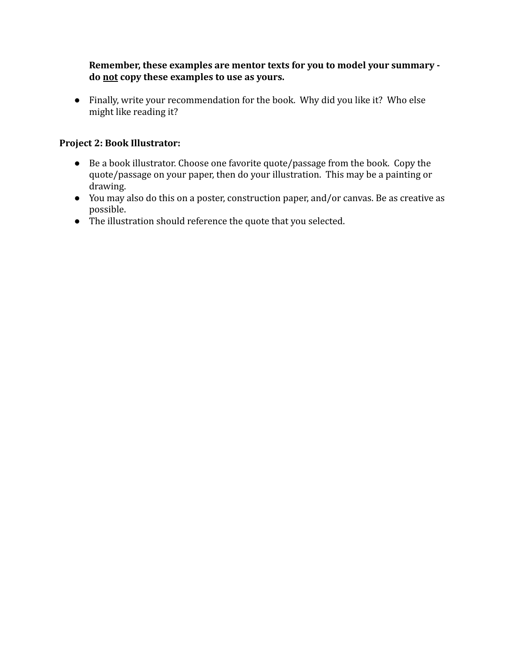**Remember, these examples are mentor texts for you to model your summary do not copy these examples to use as yours.**

● Finally, write your recommendation for the book. Why did you like it? Who else might like reading it?

## **Project 2: Book Illustrator:**

- Be a book illustrator. Choose one favorite quote/passage from the book. Copy the quote/passage on your paper, then do your illustration. This may be a painting or drawing.
- You may also do this on a poster, construction paper, and/or canvas. Be as creative as possible.
- The illustration should reference the quote that you selected.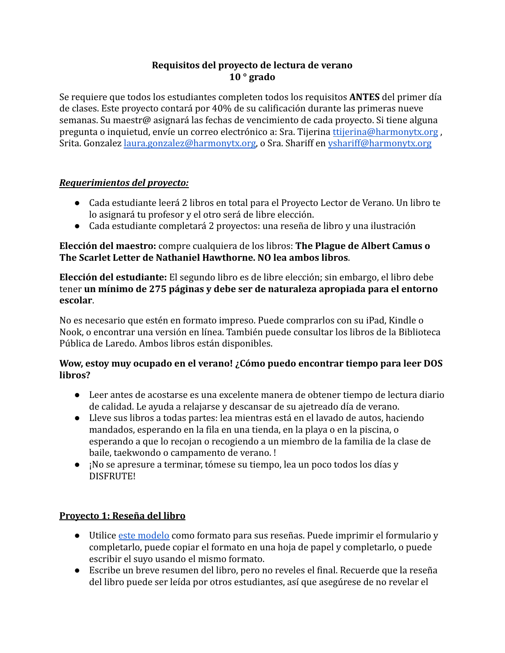## **Requisitos del proyecto de lectura de verano 10 ° grado**

Se requiere que todos los estudiantes completen todos los requisitos **ANTES** del primer día de clases. Este proyecto contará por 40% de su calificación durante las primeras nueve semanas. Su maestr@ asignará las fechas de vencimiento de cada proyecto. Si tiene alguna pregunta o inquietud, envíe un correo electrónico a: Sra. Tijerina [ttijerina@harmonytx.org](mailto:ttijerina@harmonytx.org) , Srita. Gonzalez [laura.gonzalez@harmonytx.org](mailto:laura.gonzalez@harmonytx.org), o Sra. Shariff en [yshariff@harmonytx.org](mailto:yshariff@harmonytx.org)

# *Requerimientos del proyecto:*

- Cada estudiante leerá 2 libros en total para el Provecto Lector de Verano. Un libro te lo asignará tu profesor y el otro será de libre elección.
- Cada estudiante completará 2 proyectos: una reseña de libro y una ilustración

### **Elección del maestro:** compre cualquiera de los libros: **The Plague de Albert Camus o The Scarlet Letter de Nathaniel Hawthorne. NO lea ambos libros**.

**Elección del estudiante:** El segundo libro es de libre elección; sin embargo, el libro debe tener **un mínimo de 275 páginas y debe ser de naturaleza apropiada para el entorno escolar**.

No es necesario que estén en formato impreso. Puede comprarlos con su iPad, Kindle o Nook, o encontrar una versión en línea. También puede consultar los libros de la Biblioteca Pública de Laredo. Ambos libros están disponibles.

## **Wow, estoy muy ocupado en el verano! ¿Cómo puedo encontrar tiempo para leer DOS libros?**

- Leer antes de acostarse es una excelente manera de obtener tiempo de lectura diario de calidad. Le ayuda a relajarse y descansar de su ajetreado día de verano.
- Lleve sus libros a todas partes: lea mientras está en el lavado de autos, haciendo mandados, esperando en la fila en una tienda, en la playa o en la piscina, o esperando a que lo recojan o recogiendo a un miembro de la familia de la clase de baile, taekwondo o campamento de verano. !
- ¡No se apresure a terminar, tómese su tiempo, lea un poco todos los días y DISFRUTE!

# **Proyecto 1: Reseña del libro**

- Utilice [este modelo](https://docs.google.com/document/d/18WSSL7Iu_wgPyl25Yv6XW_pgOhhugOw_gqqY00BY2Ww/edit?usp=sharing) como formato para sus reseñas. Puede imprimir el formulario y completarlo, puede copiar el formato en una hoja de papel y completarlo, o puede escribir el suyo usando el mismo formato.
- Escribe un breve resumen del libro, pero no reveles el final. Recuerde que la reseña del libro puede ser leída por otros estudiantes, así que asegúrese de no revelar el